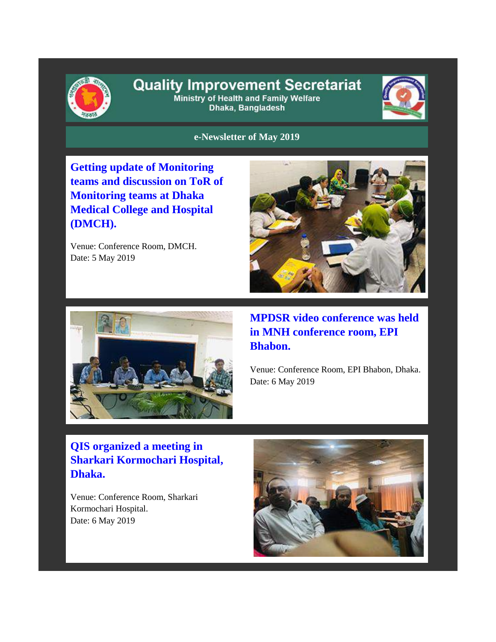

# **Quality Improvement Secretariat**

Ministry of Health and Family Welfare Dhaka, Bangladesh



**e-Newsletter of May 2019**

**Getting update of Monitoring teams and discussion on ToR of Monitoring teams at Dhaka Medical College and Hospital (DMCH).**

Venue: Conference Room, DMCH. Date: 5 May 2019





**MPDSR video conference was held in MNH conference room, EPI Bhabon.**

Venue: Conference Room, EPI Bhabon, Dhaka. Date: 6 May 2019

# **QIS organized a meeting in Sharkari Kormochari Hospital, Dhaka.**

Venue: Conference Room, Sharkari Kormochari Hospital. Date: 6 May 2019

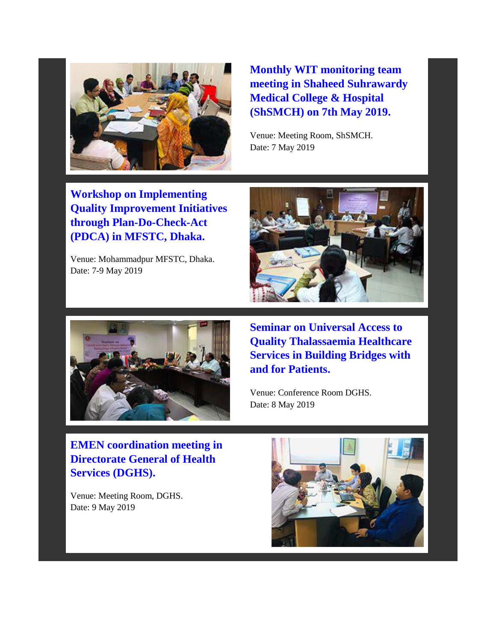

**Monthly WIT monitoring team meeting in Shaheed Suhrawardy Medical College & Hospital (ShSMCH) on 7th May 2019.** 

Venue: Meeting Room, ShSMCH. Date: 7 May 2019

**Workshop on Implementing Quality Improvement Initiatives through Plan-Do-Check-Act (PDCA) in MFSTC, Dhaka.**

Venue: Mohammadpur MFSTC, Dhaka. Date: 7-9 May 2019





**Seminar on Universal Access to Quality Thalassaemia Healthcare Services in Building Bridges with and for Patients.** 

Venue: Conference Room DGHS. Date: 8 May 2019

**EMEN coordination meeting in Directorate General of Health Services (DGHS).**

Venue: Meeting Room, DGHS. Date: 9 May 2019

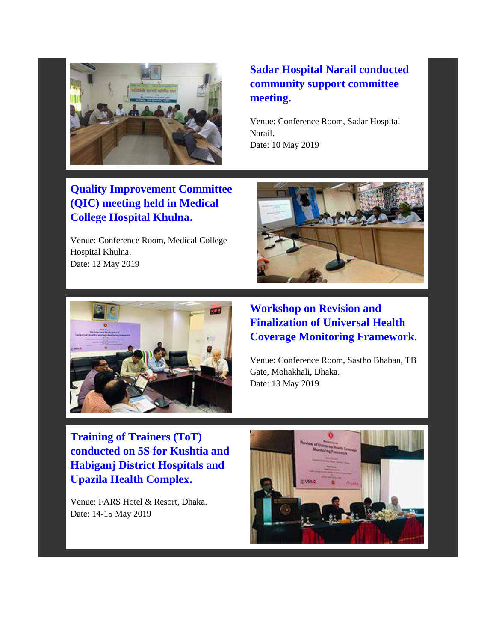

# **Quality Improvement Committee (QIC) meeting held in Medical College Hospital Khulna.**

Venue: Conference Room, Medical College Hospital Khulna. Date: 12 May 2019

# **Sadar Hospital Narail conducted community support committee meeting.**

Venue: Conference Room, Sadar Hospital Narail. Date: 10 May 2019





#### **Workshop on Revision and Finalization of Universal Health Coverage Monitoring Framework.**

Venue: Conference Room, Sastho Bhaban, TB Gate, Mohakhali, Dhaka. Date: 13 May 2019

**Training of Trainers (ToT) conducted on 5S for Kushtia and Habiganj District Hospitals and Upazila Health Complex.**

Venue: FARS Hotel & Resort, Dhaka. Date: 14-15 May 2019

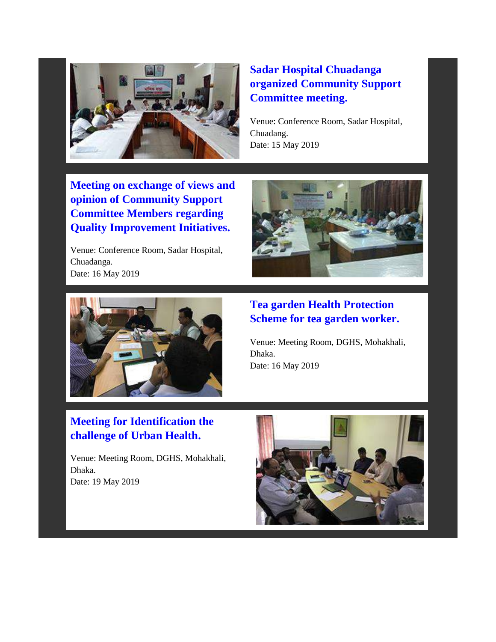

## **Sadar Hospital Chuadanga organized Community Support Committee meeting.**

Venue: Conference Room, Sadar Hospital, Chuadang. Date: 15 May 2019

**Meeting on exchange of views and opinion of Community Support Committee Members regarding Quality Improvement Initiatives.**

Venue: Conference Room, Sadar Hospital, Chuadanga. Date: 16 May 2019





#### **Tea garden Health Protection Scheme for tea garden worker.**

Venue: Meeting Room, DGHS, Mohakhali, Dhaka. Date: 16 May 2019

# **Meeting for Identification the challenge of Urban Health.**

Venue: Meeting Room, DGHS, Mohakhali, Dhaka. Date: 19 May 2019

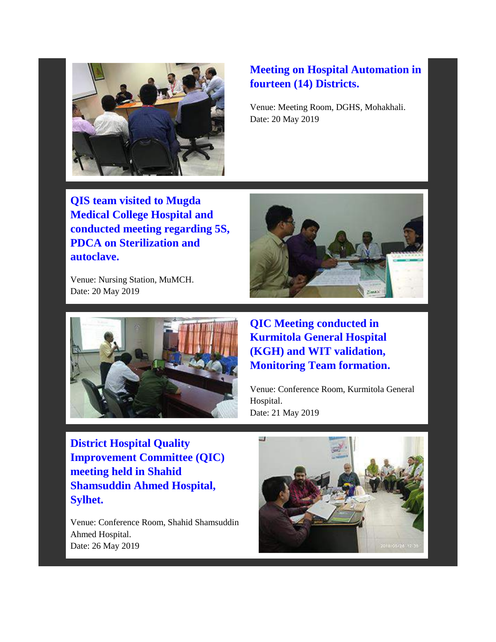

# **Meeting on Hospital Automation in fourteen (14) Districts.**

Venue: Meeting Room, DGHS, Mohakhali. Date: 20 May 2019

**QIS team visited to Mugda Medical College Hospital and conducted meeting regarding 5S, PDCA on Sterilization and autoclave.**

Venue: Nursing Station, MuMCH. Date: 20 May 2019





**QIC Meeting conducted in Kurmitola General Hospital (KGH) and WIT validation, Monitoring Team formation.** 

Venue: Conference Room, Kurmitola General Hospital. Date: 21 May 2019

**District Hospital Quality Improvement Committee (QIC) meeting held in Shahid Shamsuddin Ahmed Hospital, Sylhet.**

Venue: Conference Room, Shahid Shamsuddin Ahmed Hospital. Date: 26 May 2019

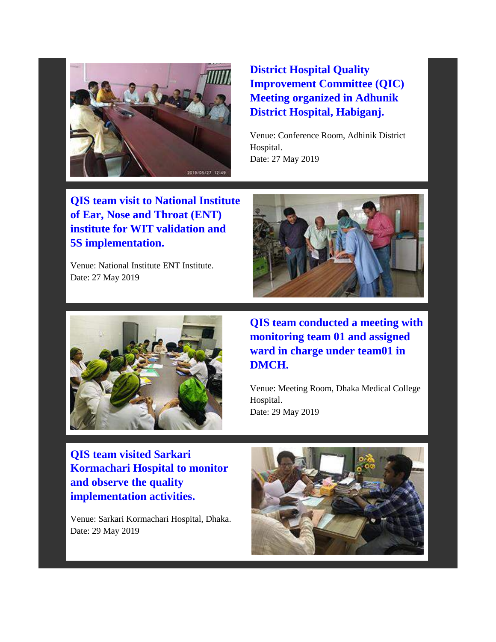

# **District Hospital Quality Improvement Committee (QIC) Meeting organized in Adhunik District Hospital, Habiganj.**

Venue: Conference Room, Adhinik District Hospital. Date: 27 May 2019

**QIS team visit to National Institute of Ear, Nose and Throat (ENT) institute for WIT validation and 5S implementation.**

Venue: National Institute ENT Institute. Date: 27 May 2019





**QIS team conducted a meeting with monitoring team 01 and assigned ward in charge under team01 in DMCH.** 

Venue: Meeting Room, Dhaka Medical College Hospital. Date: 29 May 2019

**QIS team visited Sarkari Kormachari Hospital to monitor and observe the quality implementation activities.**

Venue: Sarkari Kormachari Hospital, Dhaka. Date: 29 May 2019